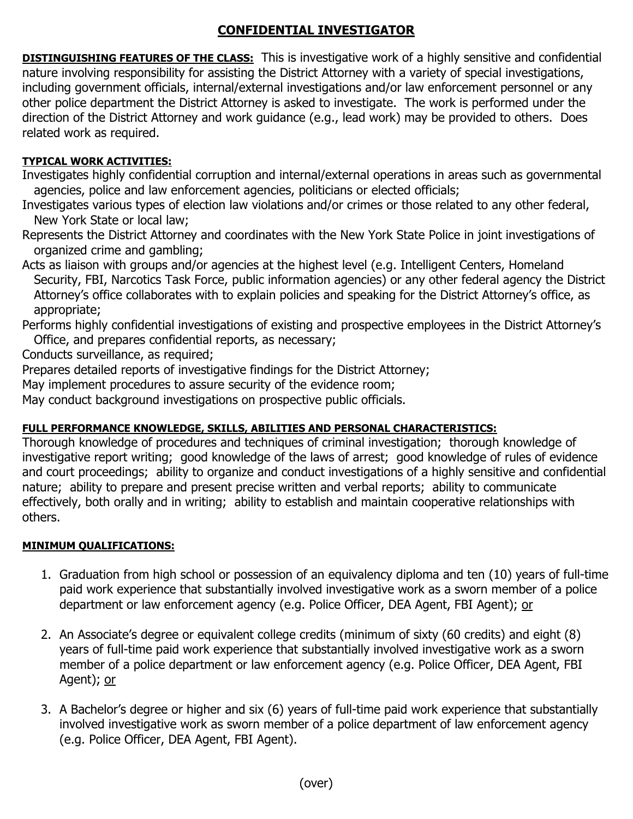# **CONFIDENTIAL INVESTIGATOR**

**DISTINGUISHING FEATURES OF THE CLASS:** This is investigative work of a highly sensitive and confidential nature involving responsibility for assisting the District Attorney with a variety of special investigations, including government officials, internal/external investigations and/or law enforcement personnel or any other police department the District Attorney is asked to investigate. The work is performed under the direction of the District Attorney and work guidance (e.g., lead work) may be provided to others. Does related work as required.

## **TYPICAL WORK ACTIVITIES:**

Investigates highly confidential corruption and internal/external operations in areas such as governmental agencies, police and law enforcement agencies, politicians or elected officials;

Investigates various types of election law violations and/or crimes or those related to any other federal, New York State or local law;

Represents the District Attorney and coordinates with the New York State Police in joint investigations of organized crime and gambling;

Acts as liaison with groups and/or agencies at the highest level (e.g. Intelligent Centers, Homeland Security, FBI, Narcotics Task Force, public information agencies) or any other federal agency the District Attorney's office collaborates with to explain policies and speaking for the District Attorney's office, as appropriate;

Performs highly confidential investigations of existing and prospective employees in the District Attorney's Office, and prepares confidential reports, as necessary;

Conducts surveillance, as required;

Prepares detailed reports of investigative findings for the District Attorney;

May implement procedures to assure security of the evidence room;

May conduct background investigations on prospective public officials.

### **FULL PERFORMANCE KNOWLEDGE, SKILLS, ABILITIES AND PERSONAL CHARACTERISTICS:**

Thorough knowledge of procedures and techniques of criminal investigation; thorough knowledge of investigative report writing; good knowledge of the laws of arrest; good knowledge of rules of evidence and court proceedings; ability to organize and conduct investigations of a highly sensitive and confidential nature; ability to prepare and present precise written and verbal reports; ability to communicate effectively, both orally and in writing; ability to establish and maintain cooperative relationships with others.

### **MINIMUM QUALIFICATIONS:**

- 1. Graduation from high school or possession of an equivalency diploma and ten (10) years of full-time paid work experience that substantially involved investigative work as a sworn member of a police department or law enforcement agency (e.g. Police Officer, DEA Agent, FBI Agent); or
- 2. An Associate's degree or equivalent college credits (minimum of sixty (60 credits) and eight (8) years of full-time paid work experience that substantially involved investigative work as a sworn member of a police department or law enforcement agency (e.g. Police Officer, DEA Agent, FBI Agent); or
- 3. A Bachelor's degree or higher and six (6) years of full-time paid work experience that substantially involved investigative work as sworn member of a police department of law enforcement agency (e.g. Police Officer, DEA Agent, FBI Agent).